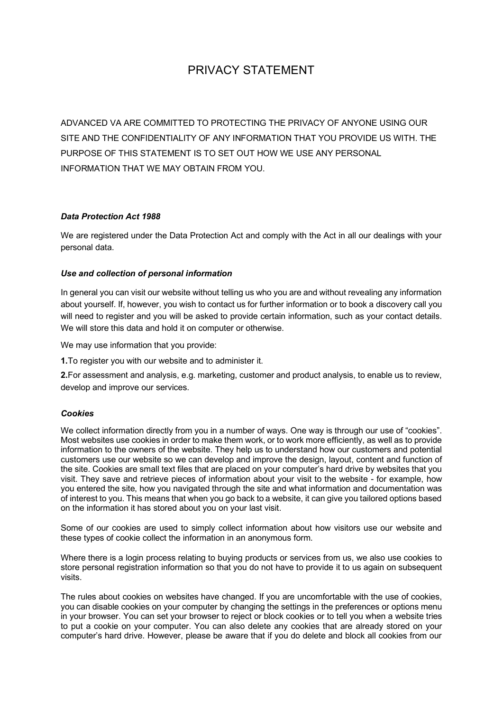# PRIVACY STATEMENT

ADVANCED VA ARE COMMITTED TO PROTECTING THE PRIVACY OF ANYONE USING OUR SITE AND THE CONFIDENTIALITY OF ANY INFORMATION THAT YOU PROVIDE US WITH. THE PURPOSE OF THIS STATEMENT IS TO SET OUT HOW WE USE ANY PERSONAL INFORMATION THAT WE MAY OBTAIN FROM YOU.

# *Data Protection Act 1988*

We are registered under the Data Protection Act and comply with the Act in all our dealings with your personal data.

# *Use and collection of personal information*

In general you can visit our website without telling us who you are and without revealing any information about yourself. If, however, you wish to contact us for further information or to book a discovery call you will need to register and you will be asked to provide certain information, such as your contact details. We will store this data and hold it on computer or otherwise.

We may use information that you provide:

**1.**To register you with our website and to administer it.

**2.**For assessment and analysis, e.g. marketing, customer and product analysis, to enable us to review, develop and improve our services.

## *Cookies*

We collect information directly from you in a number of ways. One way is through our use of "cookies". Most websites use cookies in order to make them work, or to work more efficiently, as well as to provide information to the owners of the website. They help us to understand how our customers and potential customers use our website so we can develop and improve the design, layout, content and function of the site. Cookies are small text files that are placed on your computer's hard drive by websites that you visit. They save and retrieve pieces of information about your visit to the website - for example, how you entered the site, how you navigated through the site and what information and documentation was of interest to you. This means that when you go back to a website, it can give you tailored options based on the information it has stored about you on your last visit.

Some of our cookies are used to simply collect information about how visitors use our website and these types of cookie collect the information in an anonymous form.

Where there is a login process relating to buying products or services from us, we also use cookies to store personal registration information so that you do not have to provide it to us again on subsequent visits.

The rules about cookies on websites have changed. If you are uncomfortable with the use of cookies, you can disable cookies on your computer by changing the settings in the preferences or options menu in your browser. You can set your browser to reject or block cookies or to tell you when a website tries to put a cookie on your computer. You can also delete any cookies that are already stored on your computer's hard drive. However, please be aware that if you do delete and block all cookies from our